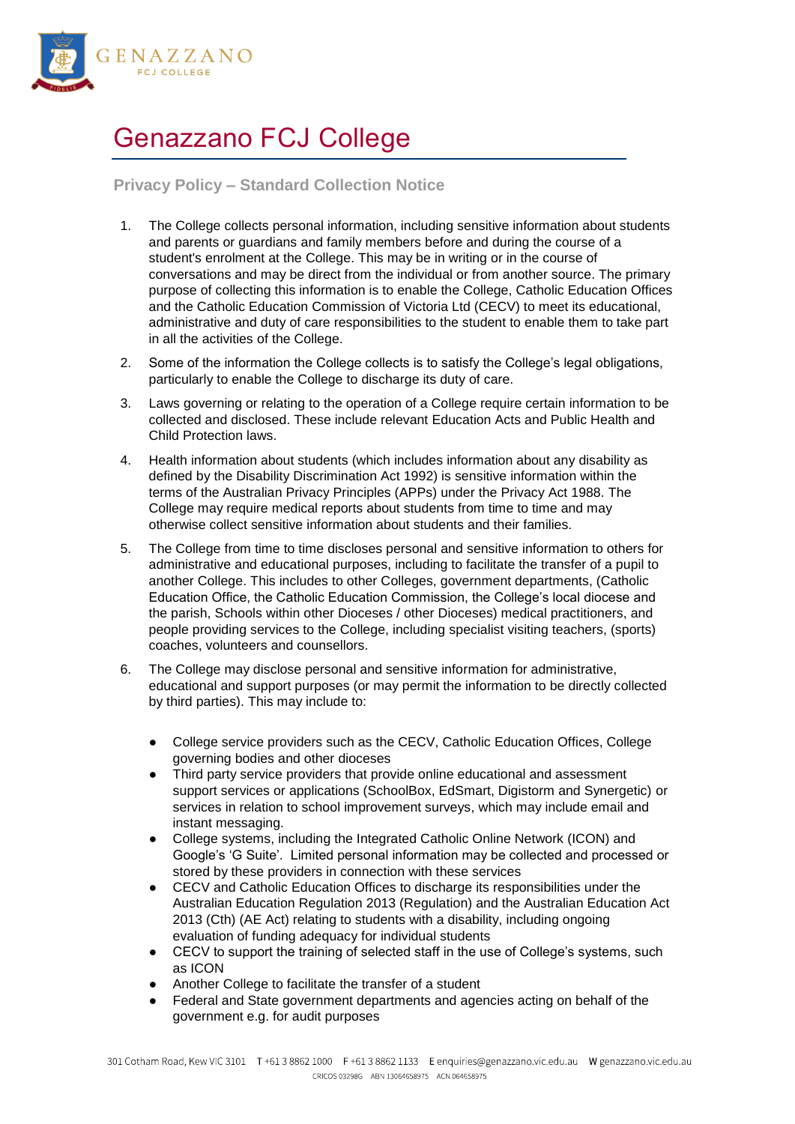

## Genazzano FCJ College

## **Privacy Policy – Standard Collection Notice**

- 1. The College collects personal information, including sensitive information about students and parents or guardians and family members before and during the course of a student's enrolment at the College. This may be in writing or in the course of conversations and may be direct from the individual or from another source. The primary purpose of collecting this information is to enable the College, Catholic Education Offices and the Catholic Education Commission of Victoria Ltd (CECV) to meet its educational, administrative and duty of care responsibilities to the student to enable them to take part in all the activities of the College.
- 2. Some of the information the College collects is to satisfy the College's legal obligations, particularly to enable the College to discharge its duty of care.
- 3. Laws governing or relating to the operation of a College require certain information to be collected and disclosed. These include relevant Education Acts and Public Health and Child Protection laws.
- 4. Health information about students (which includes information about any disability as defined by the Disability Discrimination Act 1992) is sensitive information within the terms of the Australian Privacy Principles (APPs) under the Privacy Act 1988. The College may require medical reports about students from time to time and may otherwise collect sensitive information about students and their families.
- 5. The College from time to time discloses personal and sensitive information to others for administrative and educational purposes, including to facilitate the transfer of a pupil to another College. This includes to other Colleges, government departments, (Catholic Education Office, the Catholic Education Commission, the College's local diocese and the parish, Schools within other Dioceses / other Dioceses) medical practitioners, and people providing services to the College, including specialist visiting teachers, (sports) coaches, volunteers and counsellors.
- 6. The College may disclose personal and sensitive information for administrative, educational and support purposes (or may permit the information to be directly collected by third parties). This may include to:
	- College service providers such as the CECV, Catholic Education Offices, College governing bodies and other dioceses
	- Third party service providers that provide online educational and assessment support services or applications (SchoolBox, EdSmart, Digistorm and Synergetic) or services in relation to school improvement surveys, which may include email and instant messaging.
	- College systems, including the Integrated Catholic Online Network (ICON) and Google's 'G Suite'. Limited personal information may be collected and processed or stored by these providers in connection with these services
	- CECV and Catholic Education Offices to discharge its responsibilities under the Australian Education Regulation 2013 (Regulation) and the Australian Education Act 2013 (Cth) (AE Act) relating to students with a disability, including ongoing evaluation of funding adequacy for individual students
	- CECV to support the training of selected staff in the use of College's systems, such as ICON
	- Another College to facilitate the transfer of a student
	- Federal and State government departments and agencies acting on behalf of the government e.g. for audit purposes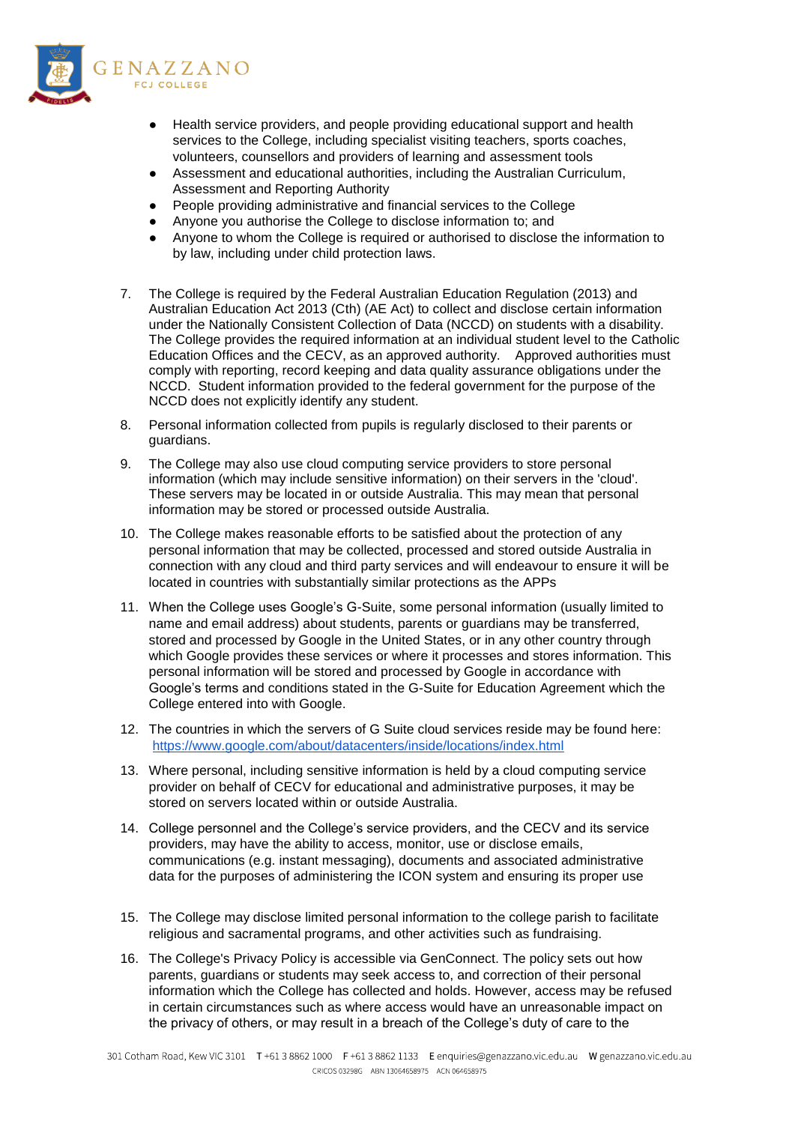

- Health service providers, and people providing educational support and health services to the College, including specialist visiting teachers, sports coaches, volunteers, counsellors and providers of learning and assessment tools
- Assessment and educational authorities, including the Australian Curriculum, Assessment and Reporting Authority
- People providing administrative and financial services to the College
- Anyone you authorise the College to disclose information to; and
- Anyone to whom the College is required or authorised to disclose the information to by law, including under child protection laws.
- 7. The College is required by the Federal Australian Education Regulation (2013) and Australian Education Act 2013 (Cth) (AE Act) to collect and disclose certain information under the Nationally Consistent Collection of Data (NCCD) on students with a disability. The College provides the required information at an individual student level to the Catholic Education Offices and the CECV, as an approved authority. Approved authorities must comply with reporting, record keeping and data quality assurance obligations under the NCCD. Student information provided to the federal government for the purpose of the NCCD does not explicitly identify any student.
- 8. Personal information collected from pupils is regularly disclosed to their parents or guardians.
- 9. The College may also use cloud computing service providers to store personal information (which may include sensitive information) on their servers in the 'cloud'. These servers may be located in or outside Australia. This may mean that personal information may be stored or processed outside Australia.
- 10. The College makes reasonable efforts to be satisfied about the protection of any personal information that may be collected, processed and stored outside Australia in connection with any cloud and third party services and will endeavour to ensure it will be located in countries with substantially similar protections as the APPs
- 11. When the College uses Google's G-Suite, some personal information (usually limited to name and email address) about students, parents or guardians may be transferred, stored and processed by Google in the United States, or in any other country through which Google provides these services or where it processes and stores information. This personal information will be stored and processed by Google in accordance with Google's terms and conditions stated in the G-Suite for Education Agreement which the College entered into with Google.
- 12. The countries in which the servers of G Suite cloud services reside may be found here: <https://www.google.com/about/datacenters/inside/locations/index.html>
- 13. Where personal, including sensitive information is held by a cloud computing service provider on behalf of CECV for educational and administrative purposes, it may be stored on servers located within or outside Australia.
- 14. College personnel and the College's service providers, and the CECV and its service providers, may have the ability to access, monitor, use or disclose emails, communications (e.g. instant messaging), documents and associated administrative data for the purposes of administering the ICON system and ensuring its proper use
- 15. The College may disclose limited personal information to the college parish to facilitate religious and sacramental programs, and other activities such as fundraising.
- 16. The College's Privacy Policy is accessible via GenConnect. The policy sets out how parents, guardians or students may seek access to, and correction of their personal information which the College has collected and holds. However, access may be refused in certain circumstances such as where access would have an unreasonable impact on the privacy of others, or may result in a breach of the College's duty of care to the